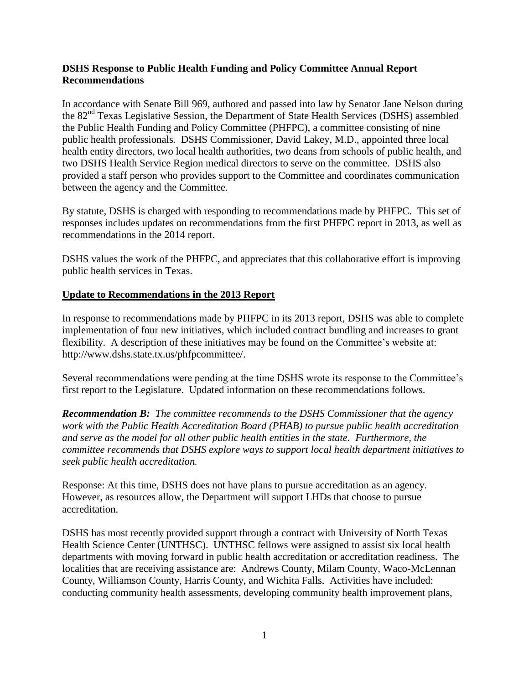## **DSHS Response to Public Health Funding and Policy Committee Annual Report Recommendations**

In accordance with Senate Bill 969, authored and passed into law by Senator Jane Nelson during the 82<sup>nd</sup> Texas Legislative Session, the Department of State Health Services (DSHS) assembled the Public Health Funding and Policy Committee (PHFPC), a committee consisting of nine public health professionals. DSHS Commissioner, David Lakey, M.D., appointed three local health entity directors, two local health authorities, two deans from schools of public health, and two DSHS Health Service Region medical directors to serve on the committee. DSHS also provided a staff person who provides support to the Committee and coordinates communication between the agency and the Committee.

By statute, DSHS is charged with responding to recommendations made by PHFPC. This set of responses includes updates on recommendations from the first PHFPC report in 2013, as well as recommendations in the 2014 report.

DSHS values the work of the PHFPC, and appreciates that this collaborative effort is improving public health services in Texas.

### **Update to Recommendations in the 2013 Report**

In response to recommendations made by PHFPC in its 2013 report, DSHS was able to complete implementation of four new initiatives, which included contract bundling and increases to grant flexibility. A description of these initiatives may be found on the Committee's website at: http://www.dshs.state.tx.us/phfpcommittee/.

Several recommendations were pending at the time DSHS wrote its response to the Committee's first report to the Legislature. Updated information on these recommendations follows.

*Recommendation B: The committee recommends to the DSHS Commissioner that the agency work with the Public Health Accreditation Board (PHAB) to pursue public health accreditation and serve as the model for all other public health entities in the state. Furthermore, the committee recommends that DSHS explore ways to support local health department initiatives to seek public health accreditation.* 

Response: At this time, DSHS does not have plans to pursue accreditation as an agency. However, as resources allow, the Department will support LHDs that choose to pursue accreditation.

DSHS has most recently provided support through a contract with University of North Texas Health Science Center (UNTHSC). UNTHSC fellows were assigned to assist six local health departments with moving forward in public health accreditation or accreditation readiness. The localities that are receiving assistance are: Andrews County, Milam County, Waco-McLennan County, Williamson County, Harris County, and Wichita Falls. Activities have included: conducting community health assessments, developing community health improvement plans,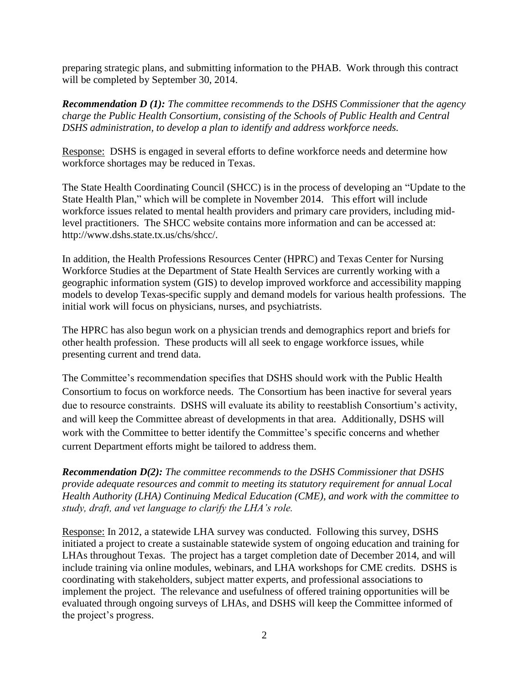preparing strategic plans, and submitting information to the PHAB. Work through this contract will be completed by September 30, 2014.

*Recommendation D (1): The committee recommends to the DSHS Commissioner that the agency charge the Public Health Consortium, consisting of the Schools of Public Health and Central DSHS administration, to develop a plan to identify and address workforce needs.* 

Response: DSHS is engaged in several efforts to define workforce needs and determine how workforce shortages may be reduced in Texas.

The State Health Coordinating Council (SHCC) is in the process of developing an "Update to the State Health Plan," which will be complete in November 2014. This effort will include workforce issues related to mental health providers and primary care providers, including midlevel practitioners. The SHCC website contains more information and can be accessed at: http://www.dshs.state.tx.us/chs/shcc/.

In addition, the Health Professions Resources Center (HPRC) and Texas Center for Nursing Workforce Studies at the Department of State Health Services are currently working with a geographic information system (GIS) to develop improved workforce and accessibility mapping models to develop Texas-specific supply and demand models for various health professions. The initial work will focus on physicians, nurses, and psychiatrists.

The HPRC has also begun work on a physician trends and demographics report and briefs for other health profession. These products will all seek to engage workforce issues, while presenting current and trend data.

The Committee's recommendation specifies that DSHS should work with the Public Health Consortium to focus on workforce needs. The Consortium has been inactive for several years due to resource constraints. DSHS will evaluate its ability to reestablish Consortium's activity, and will keep the Committee abreast of developments in that area. Additionally, DSHS will work with the Committee to better identify the Committee's specific concerns and whether current Department efforts might be tailored to address them.

*Recommendation D(2): The committee recommends to the DSHS Commissioner that DSHS provide adequate resources and commit to meeting its statutory requirement for annual Local Health Authority (LHA) Continuing Medical Education (CME), and work with the committee to study, draft, and vet language to clarify the LHA's role.*

Response: In 2012, a statewide LHA survey was conducted. Following this survey, DSHS initiated a project to create a sustainable statewide system of ongoing education and training for LHAs throughout Texas. The project has a target completion date of December 2014, and will include training via online modules, webinars, and LHA workshops for CME credits. DSHS is coordinating with stakeholders, subject matter experts, and professional associations to implement the project. The relevance and usefulness of offered training opportunities will be evaluated through ongoing surveys of LHAs, and DSHS will keep the Committee informed of the project's progress.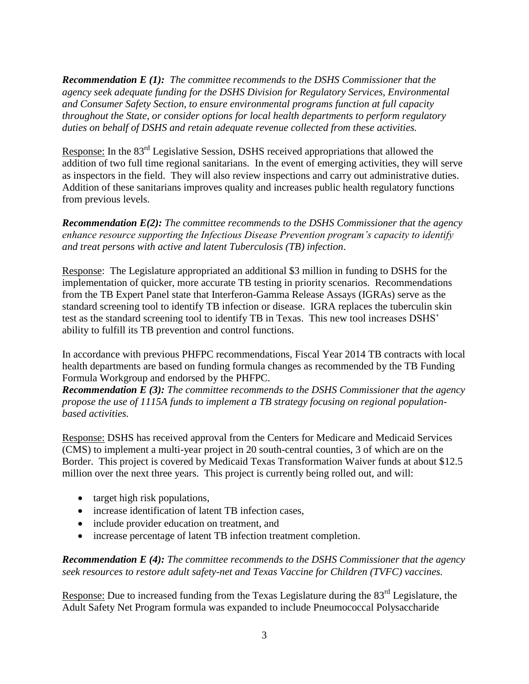*Recommendation E (1): The committee recommends to the DSHS Commissioner that the agency seek adequate funding for the DSHS Division for Regulatory Services, Environmental and Consumer Safety Section, to ensure environmental programs function at full capacity throughout the State, or consider options for local health departments to perform regulatory duties on behalf of DSHS and retain adequate revenue collected from these activities.*

Response: In the 83rd Legislative Session, DSHS received appropriations that allowed the addition of two full time regional sanitarians. In the event of emerging activities, they will serve as inspectors in the field. They will also review inspections and carry out administrative duties. Addition of these sanitarians improves quality and increases public health regulatory functions from previous levels.

*Recommendation E(2): The committee recommends to the DSHS Commissioner that the agency enhance resource supporting the Infectious Disease Prevention program's capacity to identify and treat persons with active and latent Tuberculosis (TB) infection*.

Response: The Legislature appropriated an additional \$3 million in funding to DSHS for the implementation of quicker, more accurate TB testing in priority scenarios. Recommendations from the TB Expert Panel state that Interferon-Gamma Release Assays (IGRAs) serve as the standard screening tool to identify TB infection or disease. IGRA replaces the tuberculin skin test as the standard screening tool to identify TB in Texas. This new tool increases DSHS' ability to fulfill its TB prevention and control functions.

In accordance with previous PHFPC recommendations, Fiscal Year 2014 TB contracts with local health departments are based on funding formula changes as recommended by the TB Funding Formula Workgroup and endorsed by the PHFPC.

*Recommendation E (3): The committee recommends to the DSHS Commissioner that the agency propose the use of 1115A funds to implement a TB strategy focusing on regional populationbased activities.*

Response: DSHS has received approval from the Centers for Medicare and Medicaid Services (CMS) to implement a multi-year project in 20 south-central counties, 3 of which are on the Border. This project is covered by Medicaid Texas Transformation Waiver funds at about \$12.5 million over the next three years. This project is currently being rolled out, and will:

- target high risk populations,
- increase identification of latent TB infection cases,
- include provider education on treatment, and
- increase percentage of latent TB infection treatment completion.

*Recommendation E (4): The committee recommends to the DSHS Commissioner that the agency seek resources to restore adult safety-net and Texas Vaccine for Children (TVFC) vaccines.*

Response: Due to increased funding from the Texas Legislature during the 83<sup>rd</sup> Legislature, the Adult Safety Net Program formula was expanded to include Pneumococcal Polysaccharide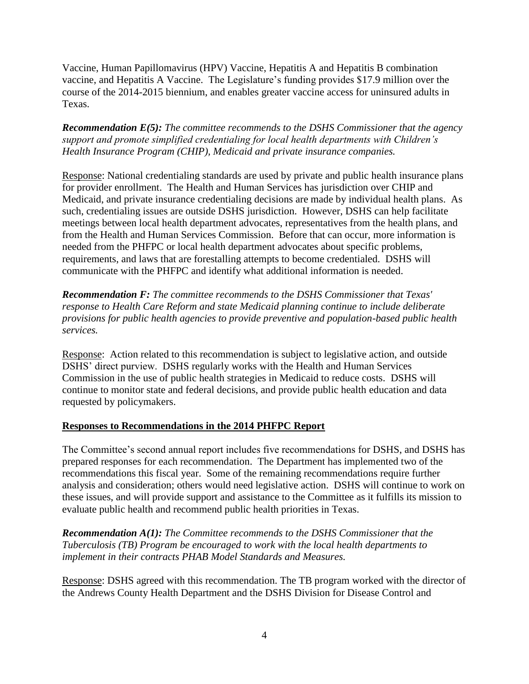Vaccine, Human Papillomavirus (HPV) Vaccine, Hepatitis A and Hepatitis B combination vaccine, and Hepatitis A Vaccine. The Legislature's funding provides \$17.9 million over the course of the 2014-2015 biennium, and enables greater vaccine access for uninsured adults in Texas.

*Recommendation E(5): The committee recommends to the DSHS Commissioner that the agency support and promote simplified credentialing for local health departments with Children's Health Insurance Program (CHIP), Medicaid and private insurance companies.* 

Response: National credentialing standards are used by private and public health insurance plans for provider enrollment. The Health and Human Services has jurisdiction over CHIP and Medicaid, and private insurance credentialing decisions are made by individual health plans. As such, credentialing issues are outside DSHS jurisdiction. However, DSHS can help facilitate meetings between local health department advocates, representatives from the health plans, and from the Health and Human Services Commission. Before that can occur, more information is needed from the PHFPC or local health department advocates about specific problems, requirements, and laws that are forestalling attempts to become credentialed. DSHS will communicate with the PHFPC and identify what additional information is needed.

*Recommendation F: The committee recommends to the DSHS Commissioner that Texas' response to Health Care Reform and state Medicaid planning continue to include deliberate provisions for public health agencies to provide preventive and population-based public health services.*

Response: Action related to this recommendation is subject to legislative action, and outside DSHS' direct purview. DSHS regularly works with the Health and Human Services Commission in the use of public health strategies in Medicaid to reduce costs. DSHS will continue to monitor state and federal decisions, and provide public health education and data requested by policymakers.

# **Responses to Recommendations in the 2014 PHFPC Report**

The Committee's second annual report includes five recommendations for DSHS, and DSHS has prepared responses for each recommendation. The Department has implemented two of the recommendations this fiscal year. Some of the remaining recommendations require further analysis and consideration; others would need legislative action. DSHS will continue to work on these issues, and will provide support and assistance to the Committee as it fulfills its mission to evaluate public health and recommend public health priorities in Texas.

*Recommendation A(1): The Committee recommends to the DSHS Commissioner that the Tuberculosis (TB) Program be encouraged to work with the local health departments to implement in their contracts PHAB Model Standards and Measures.*

Response: DSHS agreed with this recommendation. The TB program worked with the director of the Andrews County Health Department and the DSHS Division for Disease Control and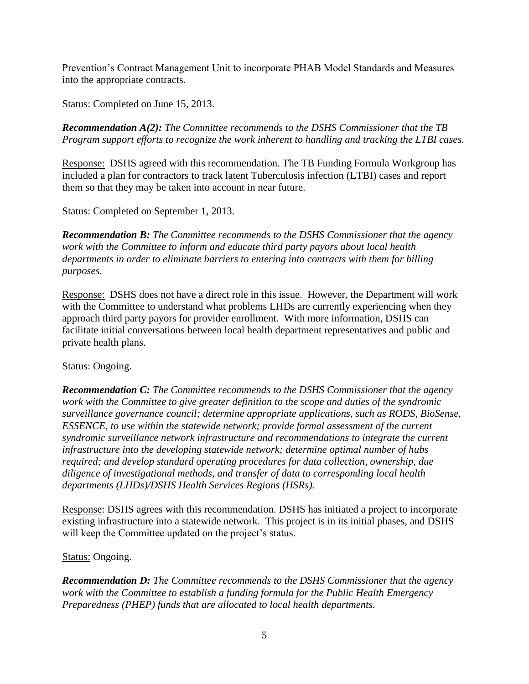Prevention's Contract Management Unit to incorporate PHAB Model Standards and Measures into the appropriate contracts.

Status: Completed on June 15, 2013.

*Recommendation A(2): The Committee recommends to the DSHS Commissioner that the TB Program support efforts to recognize the work inherent to handling and tracking the LTBI cases.*

Response: DSHS agreed with this recommendation. The TB Funding Formula Workgroup has included a plan for contractors to track latent Tuberculosis infection (LTBI) cases and report them so that they may be taken into account in near future.

Status: Completed on September 1, 2013.

*Recommendation B: The Committee recommends to the DSHS Commissioner that the agency work with the Committee to inform and educate third party payors about local health departments in order to eliminate barriers to entering into contracts with them for billing purposes.* 

Response: DSHS does not have a direct role in this issue. However, the Department will work with the Committee to understand what problems LHDs are currently experiencing when they approach third party payors for provider enrollment. With more information, DSHS can facilitate initial conversations between local health department representatives and public and private health plans.

### Status: Ongoing.

*Recommendation C: The Committee recommends to the DSHS Commissioner that the agency work with the Committee to give greater definition to the scope and duties of the syndromic surveillance governance council; determine appropriate applications, such as RODS, BioSense, ESSENCE, to use within the statewide network; provide formal assessment of the current syndromic surveillance network infrastructure and recommendations to integrate the current infrastructure into the developing statewide network; determine optimal number of hubs required; and develop standard operating procedures for data collection, ownership, due diligence of investigational methods, and transfer of data to corresponding local health departments (LHDs)/DSHS Health Services Regions (HSRs).*

Response: DSHS agrees with this recommendation. DSHS has initiated a project to incorporate existing infrastructure into a statewide network. This project is in its initial phases, and DSHS will keep the Committee updated on the project's status.

### Status: Ongoing.

*Recommendation D: The Committee recommends to the DSHS Commissioner that the agency work with the Committee to establish a funding formula for the Public Health Emergency Preparedness (PHEP) funds that are allocated to local health departments.*